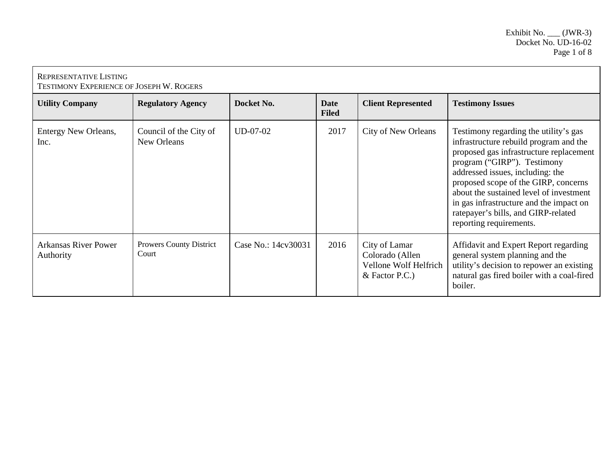| REPRESENTATIVE LISTING<br><b>TESTIMONY EXPERIENCE OF JOSEPH W. ROGERS</b> |                                         |                     |                             |                                                                               |                                                                                                                                                                                                                                                                                                                                                                                               |  |
|---------------------------------------------------------------------------|-----------------------------------------|---------------------|-----------------------------|-------------------------------------------------------------------------------|-----------------------------------------------------------------------------------------------------------------------------------------------------------------------------------------------------------------------------------------------------------------------------------------------------------------------------------------------------------------------------------------------|--|
| <b>Utility Company</b>                                                    | <b>Regulatory Agency</b>                | Docket No.          | <b>Date</b><br><b>Filed</b> | <b>Client Represented</b>                                                     | <b>Testimony Issues</b>                                                                                                                                                                                                                                                                                                                                                                       |  |
| Entergy New Orleans,<br>Inc.                                              | Council of the City of<br>New Orleans   | $UD-07-02$          | 2017                        | City of New Orleans                                                           | Testimony regarding the utility's gas<br>infrastructure rebuild program and the<br>proposed gas infrastructure replacement<br>program ("GIRP"). Testimony<br>addressed issues, including: the<br>proposed scope of the GIRP, concerns<br>about the sustained level of investment<br>in gas infrastructure and the impact on<br>ratepayer's bills, and GIRP-related<br>reporting requirements. |  |
| <b>Arkansas River Power</b><br>Authority                                  | <b>Prowers County District</b><br>Court | Case No.: 14cv30031 | 2016                        | City of Lamar<br>Colorado (Allen<br>Vellone Wolf Helfrich<br>$&$ Factor P.C.) | Affidavit and Expert Report regarding<br>general system planning and the<br>utility's decision to repower an existing<br>natural gas fired boiler with a coal-fired<br>boiler.                                                                                                                                                                                                                |  |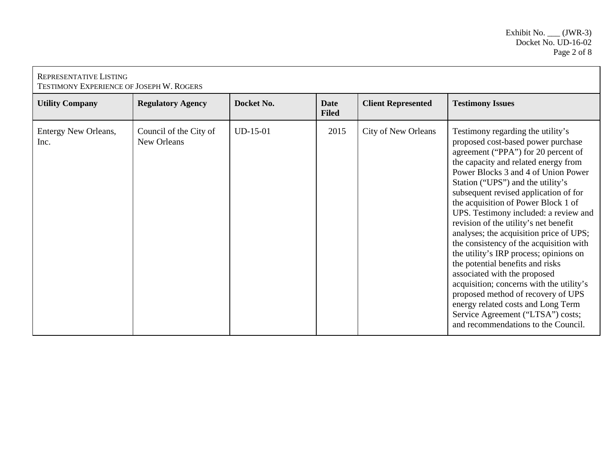| REPRESENTATIVE LISTING<br>TESTIMONY EXPERIENCE OF JOSEPH W. ROGERS |                                       |            |                             |                            |                                                                                                                                                                                                                                                                                                                                                                                                                                                                                                                                                                                                                                                                                                                                                                                                              |  |
|--------------------------------------------------------------------|---------------------------------------|------------|-----------------------------|----------------------------|--------------------------------------------------------------------------------------------------------------------------------------------------------------------------------------------------------------------------------------------------------------------------------------------------------------------------------------------------------------------------------------------------------------------------------------------------------------------------------------------------------------------------------------------------------------------------------------------------------------------------------------------------------------------------------------------------------------------------------------------------------------------------------------------------------------|--|
| <b>Utility Company</b>                                             | <b>Regulatory Agency</b>              | Docket No. | <b>Date</b><br><b>Filed</b> | <b>Client Represented</b>  | <b>Testimony Issues</b>                                                                                                                                                                                                                                                                                                                                                                                                                                                                                                                                                                                                                                                                                                                                                                                      |  |
| Entergy New Orleans,<br>Inc.                                       | Council of the City of<br>New Orleans | $UD-15-01$ | 2015                        | <b>City of New Orleans</b> | Testimony regarding the utility's<br>proposed cost-based power purchase<br>agreement ("PPA") for 20 percent of<br>the capacity and related energy from<br>Power Blocks 3 and 4 of Union Power<br>Station ("UPS") and the utility's<br>subsequent revised application of for<br>the acquisition of Power Block 1 of<br>UPS. Testimony included: a review and<br>revision of the utility's net benefit<br>analyses; the acquisition price of UPS;<br>the consistency of the acquisition with<br>the utility's IRP process; opinions on<br>the potential benefits and risks<br>associated with the proposed<br>acquisition; concerns with the utility's<br>proposed method of recovery of UPS<br>energy related costs and Long Term<br>Service Agreement ("LTSA") costs;<br>and recommendations to the Council. |  |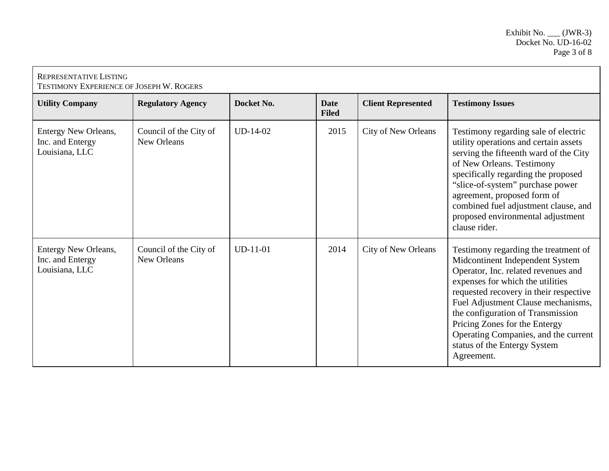| <b>REPRESENTATIVE LISTING</b><br><b>TESTIMONY EXPERIENCE OF JOSEPH W. ROGERS</b> |                                       |            |                             |                           |                                                                                                                                                                                                                                                                                                                                                                                                |  |
|----------------------------------------------------------------------------------|---------------------------------------|------------|-----------------------------|---------------------------|------------------------------------------------------------------------------------------------------------------------------------------------------------------------------------------------------------------------------------------------------------------------------------------------------------------------------------------------------------------------------------------------|--|
| <b>Utility Company</b>                                                           | <b>Regulatory Agency</b>              | Docket No. | <b>Date</b><br><b>Filed</b> | <b>Client Represented</b> | <b>Testimony Issues</b>                                                                                                                                                                                                                                                                                                                                                                        |  |
| <b>Entergy New Orleans,</b><br>Inc. and Entergy<br>Louisiana, LLC                | Council of the City of<br>New Orleans | $UD-14-02$ | 2015                        | City of New Orleans       | Testimony regarding sale of electric<br>utility operations and certain assets<br>serving the fifteenth ward of the City<br>of New Orleans. Testimony<br>specifically regarding the proposed<br>"slice-of-system" purchase power<br>agreement, proposed form of<br>combined fuel adjustment clause, and<br>proposed environmental adjustment<br>clause rider.                                   |  |
| Entergy New Orleans,<br>Inc. and Entergy<br>Louisiana, LLC                       | Council of the City of<br>New Orleans | $UD-11-01$ | 2014                        | City of New Orleans       | Testimony regarding the treatment of<br>Midcontinent Independent System<br>Operator, Inc. related revenues and<br>expenses for which the utilities<br>requested recovery in their respective<br>Fuel Adjustment Clause mechanisms,<br>the configuration of Transmission<br>Pricing Zones for the Entergy<br>Operating Companies, and the current<br>status of the Entergy System<br>Agreement. |  |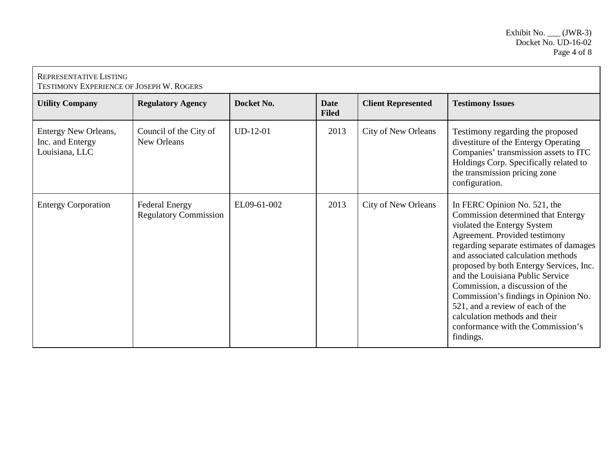| <b>REPRESENTATIVE LISTING</b><br><b>TESTIMONY EXPERIENCE OF JOSEPH W. ROGERS</b> |                                                       |             |                             |                            |                                                                                                                                                                                                                                                                                                                                                                                                                                                                                                      |
|----------------------------------------------------------------------------------|-------------------------------------------------------|-------------|-----------------------------|----------------------------|------------------------------------------------------------------------------------------------------------------------------------------------------------------------------------------------------------------------------------------------------------------------------------------------------------------------------------------------------------------------------------------------------------------------------------------------------------------------------------------------------|
| <b>Utility Company</b>                                                           | <b>Regulatory Agency</b>                              | Docket No.  | <b>Date</b><br><b>Filed</b> | <b>Client Represented</b>  | <b>Testimony Issues</b>                                                                                                                                                                                                                                                                                                                                                                                                                                                                              |
| Entergy New Orleans,<br>Inc. and Entergy<br>Louisiana, LLC                       | Council of the City of<br>New Orleans                 | $UD-12-01$  | 2013                        | <b>City of New Orleans</b> | Testimony regarding the proposed<br>divestiture of the Entergy Operating<br>Companies' transmission assets to ITC<br>Holdings Corp. Specifically related to<br>the transmission pricing zone<br>configuration.                                                                                                                                                                                                                                                                                       |
| <b>Entergy Corporation</b>                                                       | <b>Federal Energy</b><br><b>Regulatory Commission</b> | EL09-61-002 | 2013                        | <b>City of New Orleans</b> | In FERC Opinion No. 521, the<br>Commission determined that Entergy<br>violated the Entergy System<br>Agreement. Provided testimony<br>regarding separate estimates of damages<br>and associated calculation methods<br>proposed by both Entergy Services, Inc.<br>and the Louisiana Public Service<br>Commission, a discussion of the<br>Commission's findings in Opinion No.<br>521, and a review of each of the<br>calculation methods and their<br>conformance with the Commission's<br>findings. |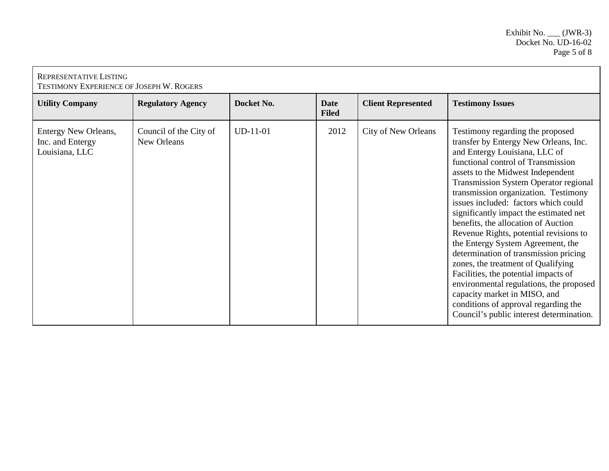| <b>REPRESENTATIVE LISTING</b><br>TESTIMONY EXPERIENCE OF JOSEPH W. ROGERS |                                       |            |                             |                            |                                                                                                                                                                                                                                                                                                                                                                                                                                                                                                                                                                                                                                                                                                                                                                             |  |
|---------------------------------------------------------------------------|---------------------------------------|------------|-----------------------------|----------------------------|-----------------------------------------------------------------------------------------------------------------------------------------------------------------------------------------------------------------------------------------------------------------------------------------------------------------------------------------------------------------------------------------------------------------------------------------------------------------------------------------------------------------------------------------------------------------------------------------------------------------------------------------------------------------------------------------------------------------------------------------------------------------------------|--|
| <b>Utility Company</b>                                                    | <b>Regulatory Agency</b>              | Docket No. | <b>Date</b><br><b>Filed</b> | <b>Client Represented</b>  | <b>Testimony Issues</b>                                                                                                                                                                                                                                                                                                                                                                                                                                                                                                                                                                                                                                                                                                                                                     |  |
| Entergy New Orleans,<br>Inc. and Entergy<br>Louisiana, LLC                | Council of the City of<br>New Orleans | $UD-11-01$ | 2012                        | <b>City of New Orleans</b> | Testimony regarding the proposed<br>transfer by Entergy New Orleans, Inc.<br>and Entergy Louisiana, LLC of<br>functional control of Transmission<br>assets to the Midwest Independent<br><b>Transmission System Operator regional</b><br>transmission organization. Testimony<br>issues included: factors which could<br>significantly impact the estimated net<br>benefits, the allocation of Auction<br>Revenue Rights, potential revisions to<br>the Entergy System Agreement, the<br>determination of transmission pricing<br>zones, the treatment of Qualifying<br>Facilities, the potential impacts of<br>environmental regulations, the proposed<br>capacity market in MISO, and<br>conditions of approval regarding the<br>Council's public interest determination. |  |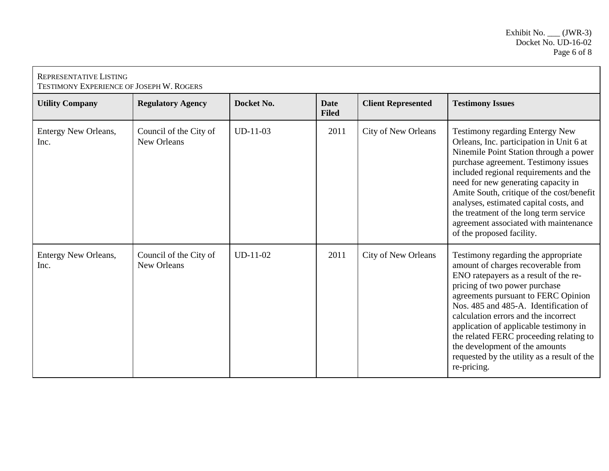| <b>REPRESENTATIVE LISTING</b><br><b>TESTIMONY EXPERIENCE OF JOSEPH W. ROGERS</b> |                                       |            |                             |                            |                                                                                                                                                                                                                                                                                                                                                                                                                                                                  |  |
|----------------------------------------------------------------------------------|---------------------------------------|------------|-----------------------------|----------------------------|------------------------------------------------------------------------------------------------------------------------------------------------------------------------------------------------------------------------------------------------------------------------------------------------------------------------------------------------------------------------------------------------------------------------------------------------------------------|--|
| <b>Utility Company</b>                                                           | <b>Regulatory Agency</b>              | Docket No. | <b>Date</b><br><b>Filed</b> | <b>Client Represented</b>  | <b>Testimony Issues</b>                                                                                                                                                                                                                                                                                                                                                                                                                                          |  |
| Entergy New Orleans,<br>Inc.                                                     | Council of the City of<br>New Orleans | $UD-11-03$ | 2011                        | <b>City of New Orleans</b> | <b>Testimony regarding Entergy New</b><br>Orleans, Inc. participation in Unit 6 at<br>Ninemile Point Station through a power<br>purchase agreement. Testimony issues<br>included regional requirements and the<br>need for new generating capacity in<br>Amite South, critique of the cost/benefit<br>analyses, estimated capital costs, and<br>the treatment of the long term service<br>agreement associated with maintenance<br>of the proposed facility.     |  |
| Entergy New Orleans,<br>Inc.                                                     | Council of the City of<br>New Orleans | $UD-11-02$ | 2011                        | City of New Orleans        | Testimony regarding the appropriate<br>amount of charges recoverable from<br>ENO ratepayers as a result of the re-<br>pricing of two power purchase<br>agreements pursuant to FERC Opinion<br>Nos. 485 and 485-A. Identification of<br>calculation errors and the incorrect<br>application of applicable testimony in<br>the related FERC proceeding relating to<br>the development of the amounts<br>requested by the utility as a result of the<br>re-pricing. |  |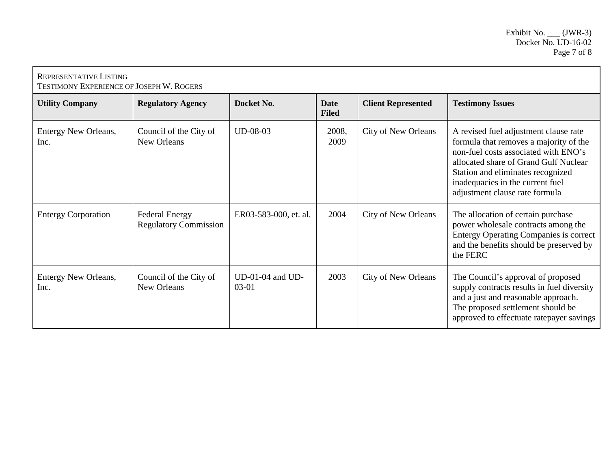| <b>REPRESENTATIVE LISTING</b><br>TESTIMONY EXPERIENCE OF JOSEPH W. ROGERS |                                                       |                                 |                             |                            |                                                                                                                                                                                                                                                                             |  |
|---------------------------------------------------------------------------|-------------------------------------------------------|---------------------------------|-----------------------------|----------------------------|-----------------------------------------------------------------------------------------------------------------------------------------------------------------------------------------------------------------------------------------------------------------------------|--|
| <b>Utility Company</b>                                                    | <b>Regulatory Agency</b>                              | Docket No.                      | <b>Date</b><br><b>Filed</b> | <b>Client Represented</b>  | <b>Testimony Issues</b>                                                                                                                                                                                                                                                     |  |
| Entergy New Orleans,<br>Inc.                                              | Council of the City of<br>New Orleans                 | $UD-08-03$                      | 2008,<br>2009               | <b>City of New Orleans</b> | A revised fuel adjustment clause rate<br>formula that removes a majority of the<br>non-fuel costs associated with ENO's<br>allocated share of Grand Gulf Nuclear<br>Station and eliminates recognized<br>inadequacies in the current fuel<br>adjustment clause rate formula |  |
| <b>Entergy Corporation</b>                                                | <b>Federal Energy</b><br><b>Regulatory Commission</b> | ER03-583-000, et. al.           | 2004                        | <b>City of New Orleans</b> | The allocation of certain purchase<br>power wholesale contracts among the<br><b>Entergy Operating Companies is correct</b><br>and the benefits should be preserved by<br>the FERC                                                                                           |  |
| <b>Entergy New Orleans,</b><br>Inc.                                       | Council of the City of<br>New Orleans                 | $UD-01-04$ and $UD-$<br>$03-01$ | 2003                        | <b>City of New Orleans</b> | The Council's approval of proposed<br>supply contracts results in fuel diversity<br>and a just and reasonable approach.<br>The proposed settlement should be<br>approved to effectuate ratepayer savings                                                                    |  |